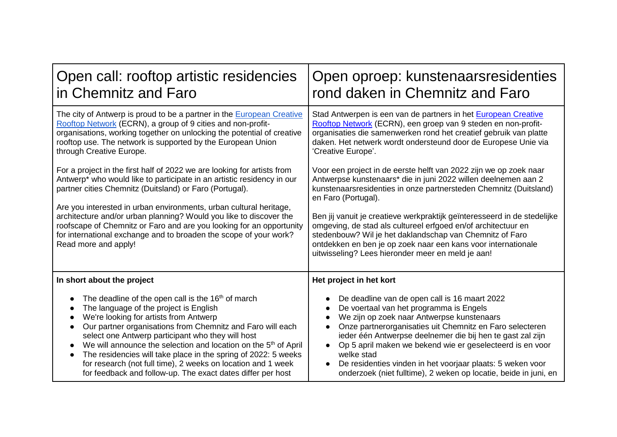| Open call: rooftop artistic residencies                                                                                                                                                                                                                                                                                                                                                                                                                                                                                                                                                          | Open oproep: kunstenaarsresidenties                                                                                                                                                                                                                                                                                                                                                                                                                                                                                                                            |
|--------------------------------------------------------------------------------------------------------------------------------------------------------------------------------------------------------------------------------------------------------------------------------------------------------------------------------------------------------------------------------------------------------------------------------------------------------------------------------------------------------------------------------------------------------------------------------------------------|----------------------------------------------------------------------------------------------------------------------------------------------------------------------------------------------------------------------------------------------------------------------------------------------------------------------------------------------------------------------------------------------------------------------------------------------------------------------------------------------------------------------------------------------------------------|
| in Chemnitz and Faro                                                                                                                                                                                                                                                                                                                                                                                                                                                                                                                                                                             | rond daken in Chemnitz and Faro                                                                                                                                                                                                                                                                                                                                                                                                                                                                                                                                |
| The city of Antwerp is proud to be a partner in the European Creative                                                                                                                                                                                                                                                                                                                                                                                                                                                                                                                            | Stad Antwerpen is een van de partners in het European Creative                                                                                                                                                                                                                                                                                                                                                                                                                                                                                                 |
| Rooftop Network (ECRN), a group of 9 cities and non-profit-                                                                                                                                                                                                                                                                                                                                                                                                                                                                                                                                      | Rooftop Network (ECRN), een groep van 9 steden en non-profit-                                                                                                                                                                                                                                                                                                                                                                                                                                                                                                  |
| organisations, working together on unlocking the potential of creative                                                                                                                                                                                                                                                                                                                                                                                                                                                                                                                           | organisaties die samenwerken rond het creatief gebruik van platte                                                                                                                                                                                                                                                                                                                                                                                                                                                                                              |
| rooftop use. The network is supported by the European Union                                                                                                                                                                                                                                                                                                                                                                                                                                                                                                                                      | daken. Het netwerk wordt ondersteund door de Europese Unie via                                                                                                                                                                                                                                                                                                                                                                                                                                                                                                 |
| through Creative Europe.                                                                                                                                                                                                                                                                                                                                                                                                                                                                                                                                                                         | 'Creative Europe'.                                                                                                                                                                                                                                                                                                                                                                                                                                                                                                                                             |
| For a project in the first half of 2022 we are looking for artists from<br>Antwerp* who would like to participate in an artistic residency in our<br>partner cities Chemnitz (Duitsland) or Faro (Portugal).<br>Are you interested in urban environments, urban cultural heritage,<br>architecture and/or urban planning? Would you like to discover the<br>roofscape of Chemnitz or Faro and are you looking for an opportunity<br>for international exchange and to broaden the scope of your work?<br>Read more and apply!                                                                    | Voor een project in de eerste helft van 2022 zijn we op zoek naar<br>Antwerpse kunstenaars* die in juni 2022 willen deelnemen aan 2<br>kunstenaarsresidenties in onze partnersteden Chemnitz (Duitsland)<br>en Faro (Portugal).<br>Ben jij vanuit je creatieve werkpraktijk geïnteresseerd in de stedelijke<br>omgeving, de stad als cultureel erfgoed en/of architectuur en<br>stedenbouw? Wil je het daklandschap van Chemnitz of Faro<br>ontdekken en ben je op zoek naar een kans voor internationale<br>uitwisseling? Lees hieronder meer en meld je aan! |
| In short about the project<br>The deadline of the open call is the 16 <sup>th</sup> of march<br>The language of the project is English<br>We're looking for artists from Antwerp<br>Our partner organisations from Chemnitz and Faro will each<br>select one Antwerp participant who they will host<br>We will announce the selection and location on the 5 <sup>th</sup> of April<br>$\bullet$<br>The residencies will take place in the spring of 2022: 5 weeks<br>for research (not full time), 2 weeks on location and 1 week<br>for feedback and follow-up. The exact dates differ per host | Het project in het kort<br>De deadline van de open call is 16 maart 2022<br>De voertaal van het programma is Engels<br>We zijn op zoek naar Antwerpse kunstenaars<br>Onze partnerorganisaties uit Chemnitz en Faro selecteren<br>ieder één Antwerpse deelnemer die bij hen te gast zal zijn<br>Op 5 april maken we bekend wie er geselecteerd is en voor<br>welke stad<br>De residenties vinden in het voorjaar plaats: 5 weken voor<br>onderzoek (niet fulltime), 2 weken op locatie, beide in juni, en                                                       |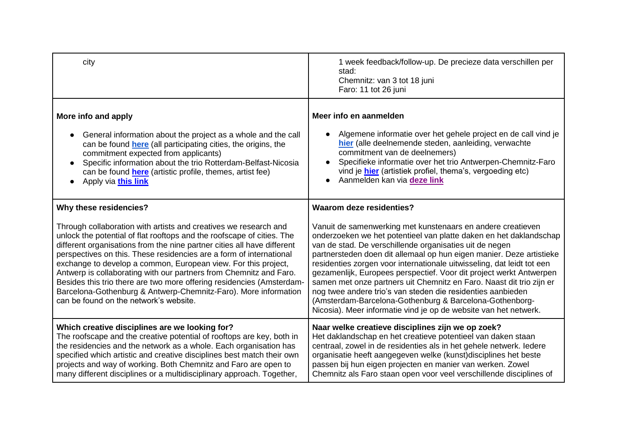| city                                                                                                                                                                                                                                                                                                                                                                                                                                                           | 1 week feedback/follow-up. De precieze data verschillen per<br>stad:<br>Chemnitz: van 3 tot 18 juni<br>Faro: 11 tot 26 juni                                                                                                                                                                                                                                                                                                                              |
|----------------------------------------------------------------------------------------------------------------------------------------------------------------------------------------------------------------------------------------------------------------------------------------------------------------------------------------------------------------------------------------------------------------------------------------------------------------|----------------------------------------------------------------------------------------------------------------------------------------------------------------------------------------------------------------------------------------------------------------------------------------------------------------------------------------------------------------------------------------------------------------------------------------------------------|
| More info and apply<br>General information about the project as a whole and the call<br>can be found <b>here</b> (all participating cities, the origins, the<br>commitment expected from applicants)<br>Specific information about the trio Rotterdam-Belfast-Nicosia<br>$\bullet$<br>can be found <b>here</b> (artistic profile, themes, artist fee)<br>Apply via this link                                                                                   | Meer info en aanmelden<br>Algemene informatie over het gehele project en de call vind je<br>hier (alle deelnemende steden, aanleiding, verwachte<br>commitment van de deelnemers)<br>Specifieke informatie over het trio Antwerpen-Chemnitz-Faro<br>vind je <b>hier</b> (artistiek profiel, thema's, vergoeding etc)<br>Aanmelden kan via deze link                                                                                                      |
| Why these residencies?<br>Through collaboration with artists and creatives we research and<br>unlock the potential of flat rooftops and the roofscape of cities. The<br>different organisations from the nine partner cities all have different<br>perspectives on this. These residencies are a form of international<br>exchange to develop a common, European view. For this project,<br>Antwerp is collaborating with our partners from Chemnitz and Faro. | <b>Waarom deze residenties?</b><br>Vanuit de samenwerking met kunstenaars en andere creatieven<br>onderzoeken we het potentieel van platte daken en het daklandschap<br>van de stad. De verschillende organisaties uit de negen<br>partnersteden doen dit allemaal op hun eigen manier. Deze artistieke<br>residenties zorgen voor internationale uitwisseling, dat leidt tot een<br>gezamenlijk, Europees perspectief. Voor dit project werkt Antwerpen |
| Besides this trio there are two more offering residencies (Amsterdam-<br>Barcelona-Gothenburg & Antwerp-Chemnitz-Faro). More information<br>can be found on the network's website.                                                                                                                                                                                                                                                                             | samen met onze partners uit Chemnitz en Faro. Naast dit trio zijn er<br>nog twee andere trio's van steden die residenties aanbieden<br>(Amsterdam-Barcelona-Gothenburg & Barcelona-Gothenborg-<br>Nicosia). Meer informatie vind je op de website van het netwerk.                                                                                                                                                                                       |
| Which creative disciplines are we looking for?<br>The roofscape and the creative potential of rooftops are key, both in<br>the residencies and the network as a whole. Each organisation has<br>specified which artistic and creative disciplines best match their own<br>projects and way of working. Both Chemnitz and Faro are open to<br>many different disciplines or a multidisciplinary approach. Together,                                             | Naar welke creatieve disciplines zijn we op zoek?<br>Het daklandschap en het creatieve potentieel van daken staan<br>centraal, zowel in de residenties als in het gehele netwerk. ledere<br>organisatie heeft aangegeven welke (kunst)disciplines het beste<br>passen bij hun eigen projecten en manier van werken. Zowel<br>Chemnitz als Faro staan open voor veel verschillende disciplines of                                                         |